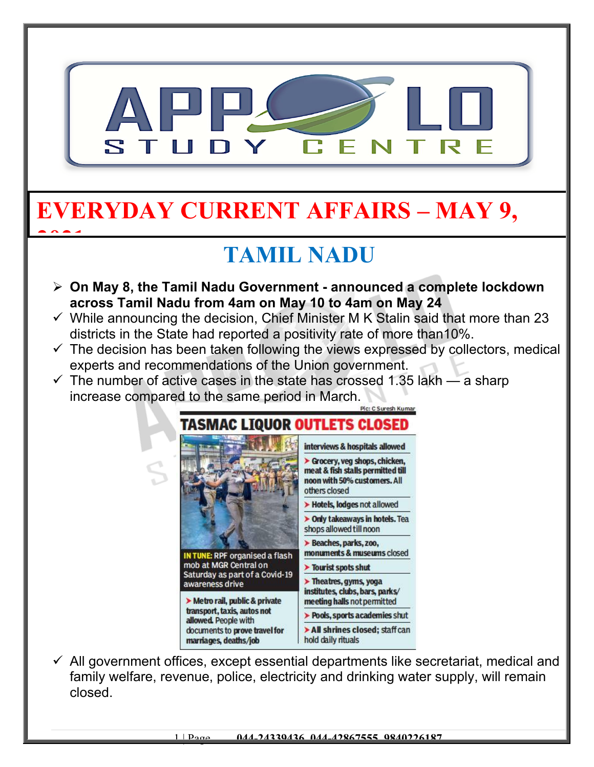

## **EVERYDAY CURRENT AFFAIRS – MAY 9,**

**2021**

## **TAMIL NADU**

- **On May 8, the Tamil Nadu Government announced a complete lockdown across Tamil Nadu from 4am on May 10 to 4am on May 24**
- $\checkmark$  While announcing the decision, Chief Minister M K Stalin said that more than 23 districts in the State had reported a positivity rate of more than10%.
- $\checkmark$  The decision has been taken following the views expressed by collectors, medical experts and recommendations of the Union government.
- $\checkmark$  The number of active cases in the state has crossed 1.35 lakh a sharp increase compared to the same period in March.



 $\checkmark$  All government offices, except essential departments like secretariat, medical and family welfare, revenue, police, electricity and drinking water supply, will remain closed.

1 | Page **044-24339436, 044-42867555, 9840226187**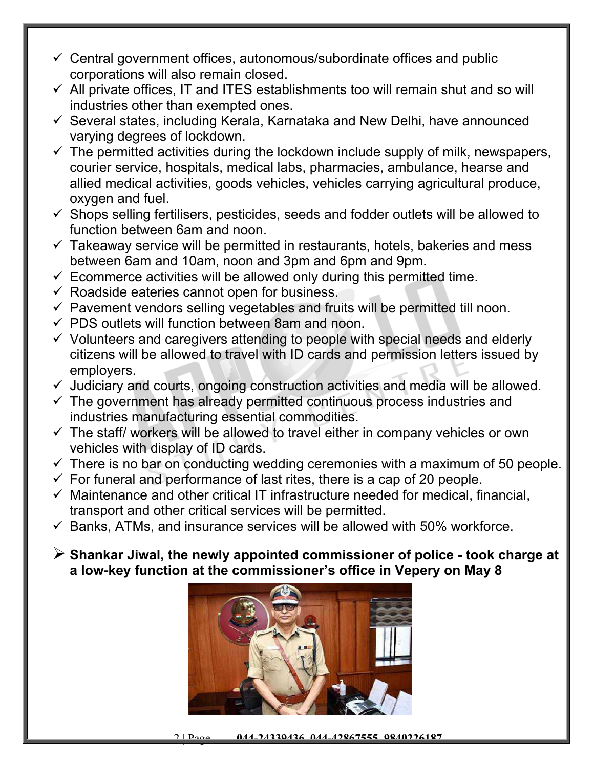- $\checkmark$  Central government offices, autonomous/subordinate offices and public corporations will also remain closed.
- $\checkmark$  All private offices, IT and ITES establishments too will remain shut and so will industries other than exempted ones.
- $\checkmark$  Several states, including Kerala, Karnataka and New Delhi, have announced varying degrees of lockdown.
- $\checkmark$  The permitted activities during the lockdown include supply of milk, newspapers, courier service, hospitals, medical labs, pharmacies, ambulance, hearse and allied medical activities, goods vehicles, vehicles carrying agricultural produce, oxygen and fuel.
- $\checkmark$  Shops selling fertilisers, pesticides, seeds and fodder outlets will be allowed to function between 6am and noon.
- $\checkmark$  Takeaway service will be permitted in restaurants, hotels, bakeries and mess between 6am and 10am, noon and 3pm and 6pm and 9pm.
- $\checkmark$  Ecommerce activities will be allowed only during this permitted time.
- $\checkmark$  Roadside eateries cannot open for business.
- $\checkmark$  Pavement vendors selling vegetables and fruits will be permitted till noon.
- $\checkmark$  PDS outlets will function between 8am and noon.
- $\checkmark$  Volunteers and caregivers attending to people with special needs and elderly citizens will be allowed to travel with ID cards and permission letters issued by employers.
- $\checkmark$  Judiciary and courts, ongoing construction activities and media will be allowed.
- $\checkmark$  The government has already permitted continuous process industries and industries manufacturing essential commodities.
- $\checkmark$  The staff/ workers will be allowed to travel either in company vehicles or own vehicles with display of ID cards.
- $\checkmark$  There is no bar on conducting wedding ceremonies with a maximum of 50 people.
- $\checkmark$  For funeral and performance of last rites, there is a cap of 20 people.
- $\checkmark$  Maintenance and other critical IT infrastructure needed for medical, financial, transport and other critical services will be permitted.
- $\checkmark$  Banks, ATMs, and insurance services will be allowed with 50% workforce.
- **Shankar Jiwal, the newly appointed commissioner of police took charge at a low-key function at the commissioner's office in Vepery on May 8**

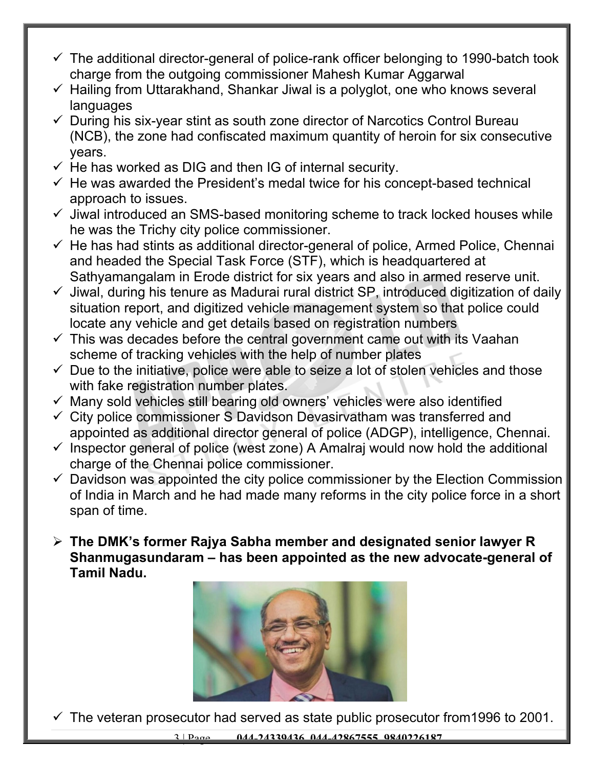- $\checkmark$  The additional director-general of police-rank officer belonging to 1990-batch took charge from the outgoing commissioner Mahesh Kumar Aggarwal
- $\checkmark$  Hailing from Uttarakhand, Shankar Jiwal is a polyglot, one who knows several languages
- $\checkmark$  During his six-year stint as south zone director of Narcotics Control Bureau (NCB), the zone had confiscated maximum quantity of heroin for six consecutive years.
- $\checkmark$  He has worked as DIG and then IG of internal security.
- $\checkmark$  He was awarded the President's medal twice for his concept-based technical approach to issues.
- $\checkmark$  Jiwal introduced an SMS-based monitoring scheme to track locked houses while he was the Trichy city police commissioner.
- $\checkmark$  He has had stints as additional director-general of police, Armed Police, Chennai and headed the Special Task Force (STF), which is headquartered at Sathyamangalam in Erode district for six years and also in armed reserve unit.
- $\checkmark$  Jiwal, during his tenure as Madurai rural district SP, introduced digitization of daily situation report, and digitized vehicle management system so that police could locate any vehicle and get details based on registration numbers
- $\checkmark$  This was decades before the central government came out with its Vaahan scheme of tracking vehicles with the help of number plates
- $\checkmark$  Due to the initiative, police were able to seize a lot of stolen vehicles and those with fake registration number plates.
- $\checkmark$  Many sold vehicles still bearing old owners' vehicles were also identified
- $\checkmark$  City police commissioner S Davidson Devasirvatham was transferred and appointed as additional director general of police (ADGP), intelligence, Chennai.
- $\checkmark$  Inspector general of police (west zone) A Amalraj would now hold the additional charge of the Chennai police commissioner.
- $\checkmark$  Davidson was appointed the city police commissioner by the Election Commission of India in March and he had made many reforms in the city police force in a short span of time.
- **The DMK's former Rajya Sabha member and designated senior lawyer R Shanmugasundaram – has been appointed as the new advocate-general of Tamil Nadu.**



 $\checkmark$  The veteran prosecutor had served as state public prosecutor from 1996 to 2001.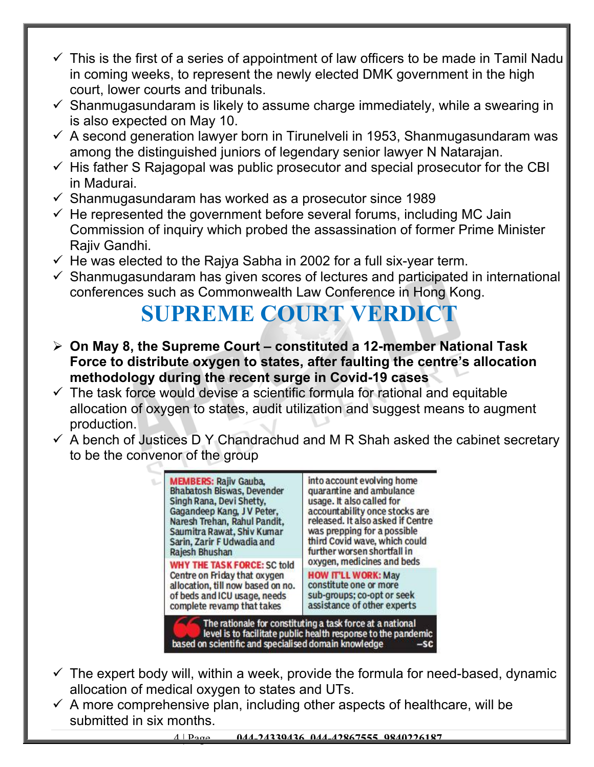- $\checkmark$  This is the first of a series of appointment of law officers to be made in Tamil Nadu in coming weeks, to represent the newly elected DMK government in the high court, lower courts and tribunals.
- $\checkmark$  Shanmugasundaram is likely to assume charge immediately, while a swearing in is also expected on May 10.
- $\checkmark$  A second generation lawyer born in Tirunelveli in 1953, Shanmugasundaram was among the distinguished juniors of legendary senior lawyer N Natarajan.
- $\checkmark$  His father S Rajagopal was public prosecutor and special prosecutor for the CBI in Madurai.
- $\checkmark$  Shanmugasundaram has worked as a prosecutor since 1989
- $\checkmark$  He represented the government before several forums, including MC Jain Commission of inquiry which probed the assassination of former Prime Minister Rajiv Gandhi.
- $\checkmark$  He was elected to the Rajya Sabha in 2002 for a full six-year term.
- $\checkmark$  Shanmugasundaram has given scores of lectures and participated in international conferences such as Commonwealth Law Conference in Hong Kong.

### **SUPREME COURT VERDICT**

- **On May 8, the Supreme Court constituted a 12-member National Task Force to distribute oxygen to states, after faulting the centre's allocation methodology during the recent surge in Covid-19 cases**
- $\checkmark$  The task force would devise a scientific formula for rational and equitable allocation of oxygen to states, audit utilization and suggest means to augment production.
- $\checkmark$  A bench of Justices D Y Chandrachud and M R Shah asked the cabinet secretary to be the convenor of the group



- $\checkmark$  The expert body will, within a week, provide the formula for need-based, dynamic allocation of medical oxygen to states and UTs.
- $\checkmark$  A more comprehensive plan, including other aspects of healthcare, will be submitted in six months.

4 | Page **044-24339436, 044-42867555, 9840226187**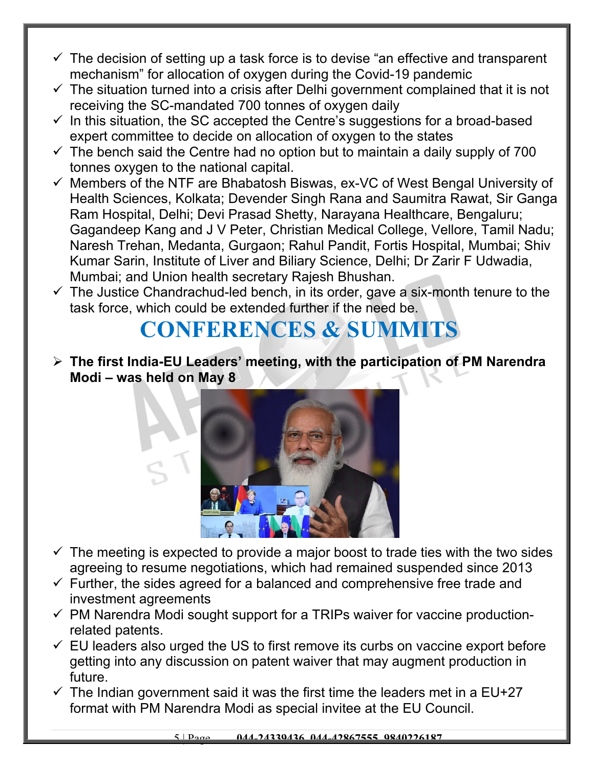- $\checkmark$  The decision of setting up a task force is to devise "an effective and transparent mechanism" for allocation of oxygen during the Covid-19 pandemic
- $\checkmark$  The situation turned into a crisis after Delhi government complained that it is not receiving the SC-mandated 700 tonnes of oxygen daily
- $\checkmark$  In this situation, the SC accepted the Centre's suggestions for a broad-based expert committee to decide on allocation of oxygen to the states
- $\checkmark$  The bench said the Centre had no option but to maintain a daily supply of 700 tonnes oxygen to the national capital.
- $\checkmark$  Members of the NTF are Bhabatosh Biswas, ex-VC of West Bengal University of Health Sciences, Kolkata; Devender Singh Rana and Saumitra Rawat, Sir Ganga Ram Hospital, Delhi; Devi Prasad Shetty, Narayana Healthcare, Bengaluru; Gagandeep Kang and J V Peter, Christian Medical College, Vellore, Tamil Nadu; Naresh Trehan, Medanta, Gurgaon; Rahul Pandit, Fortis Hospital, Mumbai; Shiv Kumar Sarin, Institute of Liver and Biliary Science, Delhi; Dr Zarir F Udwadia, Mumbai; and Union health secretary Rajesh Bhushan.
- $\checkmark$  The Justice Chandrachud-led bench, in its order, gave a six-month tenure to the task force, which could be extended further if the need be.

#### **CONFERENCES & SUMMITS**

 **The first India-EU Leaders' meeting, with the participation of PM Narendra Modi – was held on May 8**



- $\checkmark$  The meeting is expected to provide a major boost to trade ties with the two sides agreeing to resume negotiations, which had remained suspended since 2013
- $\checkmark$  Further, the sides agreed for a balanced and comprehensive free trade and investment agreements
- $\checkmark$  PM Narendra Modi sought support for a TRIPs waiver for vaccine productionrelated patents.
- $\checkmark$  EU leaders also urged the US to first remove its curbs on vaccine export before getting into any discussion on patent waiver that may augment production in future.
- $\checkmark$  The Indian government said it was the first time the leaders met in a EU+27 format with PM Narendra Modi as special invitee at the EU Council.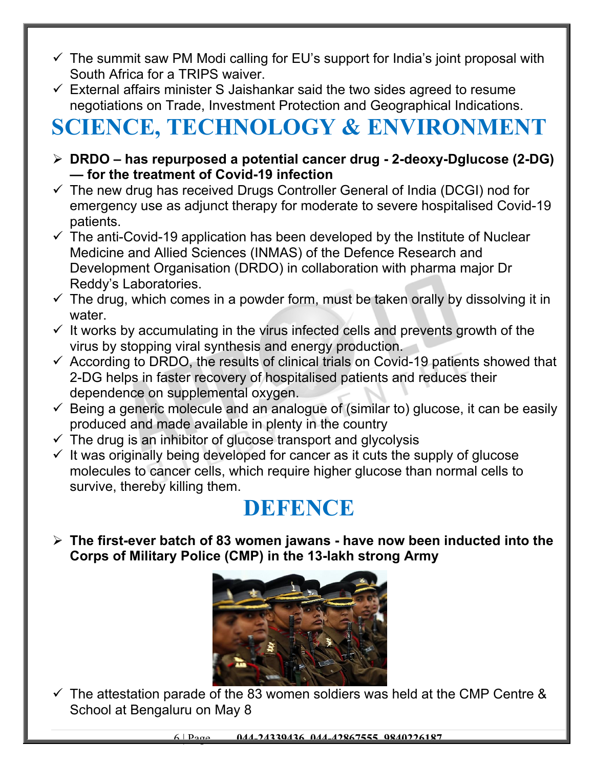- $\checkmark$  The summit saw PM Modi calling for EU's support for India's joint proposal with South Africa for a TRIPS waiver.
- $\checkmark$  External affairs minister S Jaishankar said the two sides agreed to resume negotiations on Trade, Investment Protection and Geographical Indications.

# **SCIENCE, TECHNOLOGY & ENVIRONMENT**

- **DRDO has repurposed a potential cancer drug 2-deoxy-Dglucose (2-DG) — for the treatment of Covid-19 infection**
- $\checkmark$  The new drug has received Drugs Controller General of India (DCGI) nod for emergency use as adjunct therapy for moderate to severe hospitalised Covid-19 patients.
- $\checkmark$  The anti-Covid-19 application has been developed by the Institute of Nuclear Medicine and Allied Sciences (INMAS) of the Defence Research and Development Organisation (DRDO) in collaboration with pharma major Dr Reddy's Laboratories.
- $\checkmark$  The drug, which comes in a powder form, must be taken orally by dissolving it in water.
- $\checkmark$  It works by accumulating in the virus infected cells and prevents growth of the virus by stopping viral synthesis and energy production.
- $\checkmark$  According to DRDO, the results of clinical trials on Covid-19 patients showed that 2-DG helps in faster recovery of hospitalised patients and reduces their dependence on supplemental oxygen.
- $\checkmark$  Being a generic molecule and an analogue of (similar to) glucose, it can be easily produced and made available in plenty in the country
- $\checkmark$  The drug is an inhibitor of glucose transport and glycolysis
- $\checkmark$  It was originally being developed for cancer as it cuts the supply of glucose molecules to cancer cells, which require higher glucose than normal cells to survive, thereby killing them.

#### **DEFENCE**

 **The first-ever batch of 83 women jawans - have now been inducted into the Corps of Military Police (CMP) in the 13-lakh strong Army**



 $\checkmark$  The attestation parade of the 83 women soldiers was held at the CMP Centre & School at Bengaluru on May 8